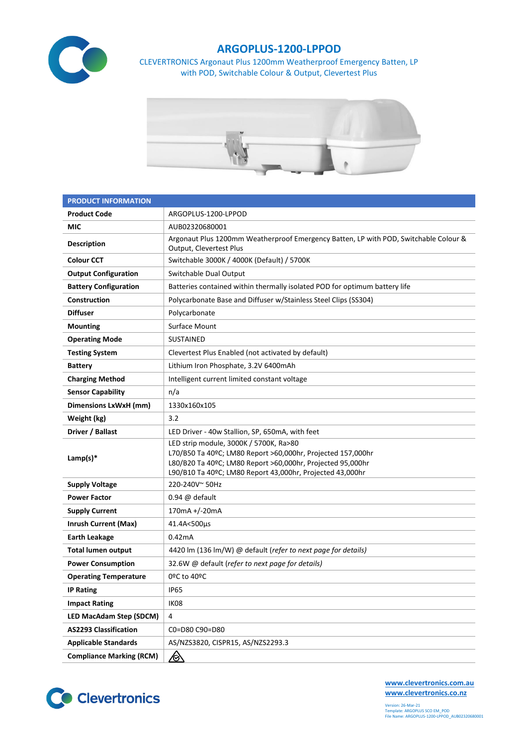

## **ARGOPLUS-1200-LPPOD**

CLEVERTRONICS Argonaut Plus 1200mm Weatherproof Emergency Batten, LP with POD, Switchable Colour & Output, Clevertest Plus



| <b>PRODUCT INFORMATION</b>      |                                                                                                                                                                                                                                  |  |  |  |  |
|---------------------------------|----------------------------------------------------------------------------------------------------------------------------------------------------------------------------------------------------------------------------------|--|--|--|--|
| <b>Product Code</b>             | ARGOPLUS-1200-LPPOD                                                                                                                                                                                                              |  |  |  |  |
| MIC                             | AUB02320680001                                                                                                                                                                                                                   |  |  |  |  |
| <b>Description</b>              | Argonaut Plus 1200mm Weatherproof Emergency Batten, LP with POD, Switchable Colour &<br>Output, Clevertest Plus                                                                                                                  |  |  |  |  |
| <b>Colour CCT</b>               | Switchable 3000K / 4000K (Default) / 5700K                                                                                                                                                                                       |  |  |  |  |
| <b>Output Configuration</b>     | Switchable Dual Output                                                                                                                                                                                                           |  |  |  |  |
| <b>Battery Configuration</b>    | Batteries contained within thermally isolated POD for optimum battery life                                                                                                                                                       |  |  |  |  |
| Construction                    | Polycarbonate Base and Diffuser w/Stainless Steel Clips (SS304)                                                                                                                                                                  |  |  |  |  |
| <b>Diffuser</b>                 | Polycarbonate                                                                                                                                                                                                                    |  |  |  |  |
| <b>Mounting</b>                 | Surface Mount                                                                                                                                                                                                                    |  |  |  |  |
| <b>Operating Mode</b>           | <b>SUSTAINED</b>                                                                                                                                                                                                                 |  |  |  |  |
| <b>Testing System</b>           | Clevertest Plus Enabled (not activated by default)                                                                                                                                                                               |  |  |  |  |
| <b>Battery</b>                  | Lithium Iron Phosphate, 3.2V 6400mAh                                                                                                                                                                                             |  |  |  |  |
| <b>Charging Method</b>          | Intelligent current limited constant voltage                                                                                                                                                                                     |  |  |  |  |
| <b>Sensor Capability</b>        | n/a                                                                                                                                                                                                                              |  |  |  |  |
| Dimensions LxWxH (mm)           | 1330x160x105                                                                                                                                                                                                                     |  |  |  |  |
| Weight (kg)                     | 3.2                                                                                                                                                                                                                              |  |  |  |  |
| Driver / Ballast                | LED Driver - 40w Stallion, SP, 650mA, with feet                                                                                                                                                                                  |  |  |  |  |
| Lamp(s) $*$                     | LED strip module, 3000K / 5700K, Ra>80<br>L70/B50 Ta 40ºC; LM80 Report >60,000hr, Projected 157,000hr<br>L80/B20 Ta 40ºC; LM80 Report >60,000hr, Projected 95,000hr<br>L90/B10 Ta 40ºC; LM80 Report 43,000hr, Projected 43,000hr |  |  |  |  |
| <b>Supply Voltage</b>           | 220-240V~50Hz                                                                                                                                                                                                                    |  |  |  |  |
| <b>Power Factor</b>             | $0.94 \ @$ default                                                                                                                                                                                                               |  |  |  |  |
| <b>Supply Current</b>           | 170mA +/-20mA                                                                                                                                                                                                                    |  |  |  |  |
| <b>Inrush Current (Max)</b>     | 41.4A<500µs                                                                                                                                                                                                                      |  |  |  |  |
| <b>Earth Leakage</b>            | 0.42mA                                                                                                                                                                                                                           |  |  |  |  |
| <b>Total lumen output</b>       | 4420 lm (136 lm/W) @ default (refer to next page for details)                                                                                                                                                                    |  |  |  |  |
| <b>Power Consumption</b>        | 32.6W @ default (refer to next page for details)                                                                                                                                                                                 |  |  |  |  |
| <b>Operating Temperature</b>    | 0ºC to 40ºC                                                                                                                                                                                                                      |  |  |  |  |
| <b>IP Rating</b>                | <b>IP65</b>                                                                                                                                                                                                                      |  |  |  |  |
| <b>Impact Rating</b>            | IK08                                                                                                                                                                                                                             |  |  |  |  |
| <b>LED MacAdam Step (SDCM)</b>  | 4                                                                                                                                                                                                                                |  |  |  |  |
| <b>AS2293 Classification</b>    | C0=D80 C90=D80                                                                                                                                                                                                                   |  |  |  |  |
| <b>Applicable Standards</b>     | AS/NZS3820, CISPR15, AS/NZS2293.3                                                                                                                                                                                                |  |  |  |  |
| <b>Compliance Marking (RCM)</b> | <u>⁄⊗</u>                                                                                                                                                                                                                        |  |  |  |  |



**[www.clevertronics.com.au](http://www.clevertronics.com.au/) www.clevertronics.co.nz**

Version: 26-Mar-21 Template: ARGOPLUS SCO EM\_POD File Name: ARGOPLUS-1200-LPPOD\_AUB02320680001